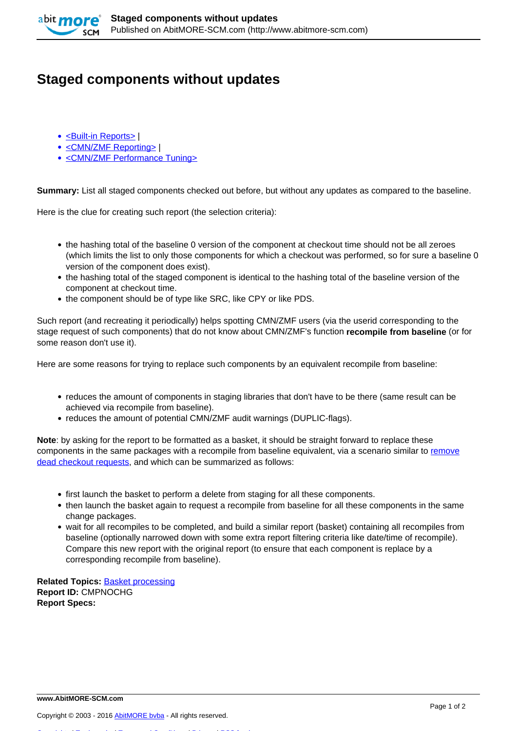

## **Staged components without updates**

- [<Built-in Reports>](http://www.abitmore-scm.com/taxonomy/term/69) |
- [<CMN/ZMF Reporting>](http://www.abitmore-scm.com/taxonomy/term/12) |
- [<CMN/ZMF Performance Tuning>](http://www.abitmore-scm.com/taxonomy/term/77)

**Summary:** List all staged components checked out before, but without any updates as compared to the baseline.

Here is the clue for creating such report (the selection criteria):

- the hashing total of the baseline 0 version of the component at checkout time should not be all zeroes (which limits the list to only those components for which a checkout was performed, so for sure a baseline 0 version of the component does exist).
- the hashing total of the staged component is identical to the hashing total of the baseline version of the component at checkout time.
- the component should be of type like SRC, like CPY or like PDS.

Such report (and recreating it periodically) helps spotting CMN/ZMF users (via the userid corresponding to the stage request of such components) that do not know about CMN/ZMF's function **recompile from baseline** (or for some reason don't use it).

Here are some reasons for trying to replace such components by an equivalent recompile from baseline:

- reduces the amount of components in staging libraries that don't have to be there (same result can be achieved via recompile from baseline).
- reduces the amount of potential CMN/ZMF audit warnings (DUPLIC-flags).

**Note**: by asking for the report to be formatted as a basket, it should be straight forward to replace these components in the same packages with a recompile from baseline equivalent, via a scenario similar to [remove](http://www.abitmore-scm.com/products/commander/usecases/remove-dead-checkout-requests) [dead checkout requests,](http://www.abitmore-scm.com/products/commander/usecases/remove-dead-checkout-requests) and which can be summarized as follows:

- first launch the basket to perform a delete from staging for all these components.
- then launch the basket again to request a recompile from baseline for all these components in the same change packages.
- wait for all recompiles to be completed, and build a similar report (basket) containing all recompiles from baseline (optionally narrowed down with some extra report filtering criteria like date/time of recompile). Compare this new report with the original report (to ensure that each component is replace by a corresponding recompile from baseline).

**Related Topics:** [Basket processing](http://www.abitmore-scm.com/products/commander/features/basket-processing) **Report ID:** CMPNOCHG **Report Specs:** 

[Copyrights](http://www.abitmore-scm.com/legal/copyrights) | [Trademarks](http://www.abitmore-scm.com/legal/trademarks) | [Terms and Conditions](http://www.abitmore-scm.com/legal/terms) | [Privacy](http://www.abitmore-scm.com/legal/privacy) | [RSS feeds](http://www.abitmore-scm.com/rss.xml)